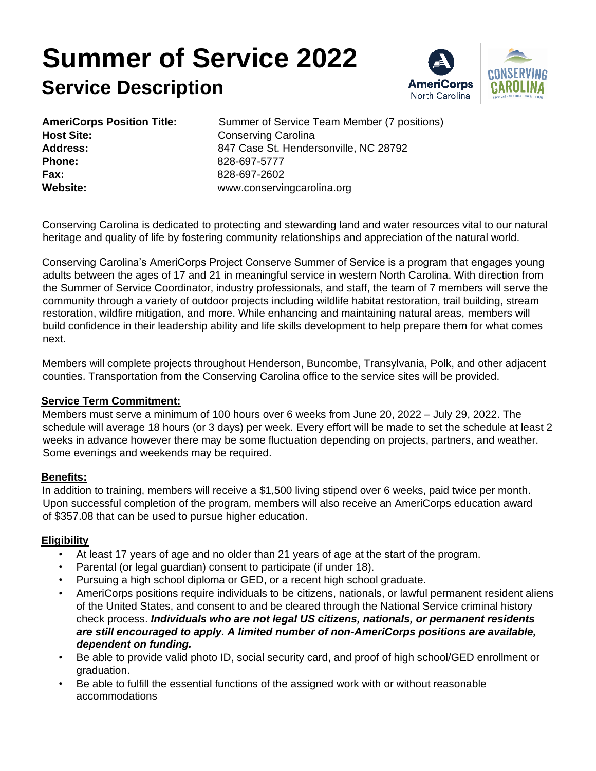# **Summer of Service 2022 Service Description**



| <b>AmeriCorps Position Title:</b> |  |
|-----------------------------------|--|
| <b>Host Site:</b>                 |  |
| Address:                          |  |
| <b>Phone:</b>                     |  |
| Fax:                              |  |
| Website:                          |  |

Summer of Service Team Member (7 positions) **Conserving Carolina Address:** 847 Case St. Hendersonville, NC 28792 **Phone:** 828-697-5777 **Fax:** 828-697-2602 **Website:** www.conservingcarolina.org

Conserving Carolina is dedicated to protecting and stewarding land and water resources vital to our natural heritage and quality of life by fostering community relationships and appreciation of the natural world.

Conserving Carolina's AmeriCorps Project Conserve Summer of Service is a program that engages young adults between the ages of 17 and 21 in meaningful service in western North Carolina. With direction from the Summer of Service Coordinator, industry professionals, and staff, the team of 7 members will serve the community through a variety of outdoor projects including wildlife habitat restoration, trail building, stream restoration, wildfire mitigation, and more. While enhancing and maintaining natural areas, members will build confidence in their leadership ability and life skills development to help prepare them for what comes next.

Members will complete projects throughout Henderson, Buncombe, Transylvania, Polk, and other adjacent counties. Transportation from the Conserving Carolina office to the service sites will be provided.

#### **Service Term Commitment:**

Members must serve a minimum of 100 hours over 6 weeks from June 20, 2022 – July 29, 2022. The schedule will average 18 hours (or 3 days) per week. Every effort will be made to set the schedule at least 2 weeks in advance however there may be some fluctuation depending on projects, partners, and weather. Some evenings and weekends may be required.

## **Benefits:**

In addition to training, members will receive a \$1,500 living stipend over 6 weeks, paid twice per month. Upon successful completion of the program, members will also receive an AmeriCorps education award of \$357.08 that can be used to pursue higher education.

## **Eligibility**

- At least 17 years of age and no older than 21 years of age at the start of the program.
- Parental (or legal guardian) consent to participate (if under 18).
- Pursuing a high school diploma or GED, or a recent high school graduate.
- AmeriCorps positions require individuals to be citizens, nationals, or lawful permanent resident aliens of the United States, and consent to and be cleared through the National Service criminal history check process. *Individuals who are not legal US citizens, nationals, or permanent residents are still encouraged to apply. A limited number of non-AmeriCorps positions are available, dependent on funding.*
- Be able to provide valid photo ID, social security card, and proof of high school/GED enrollment or graduation.
- Be able to fulfill the essential functions of the assigned work with or without reasonable accommodations